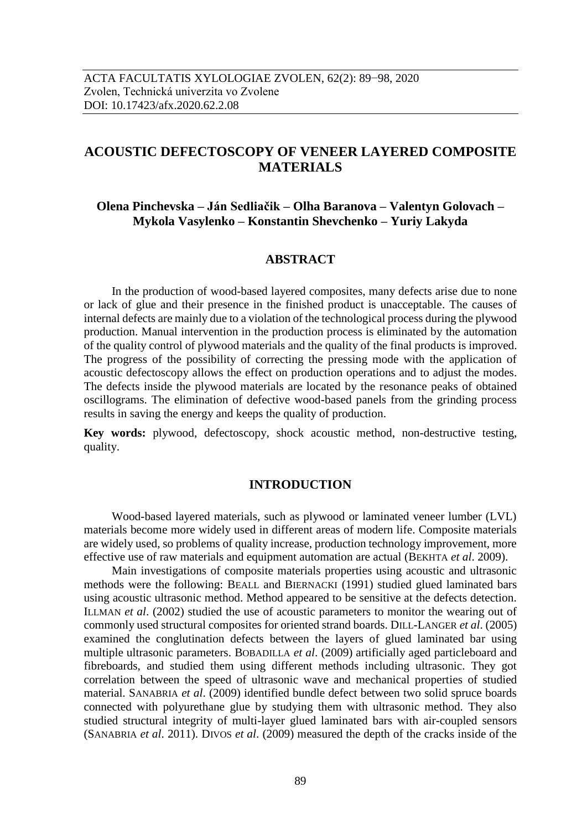# **ACOUSTIC DEFECTOSCOPY OF VENEER LAYERED COMPOSITE MATERIALS**

## **Olena Pinchevska – Ján Sedliačik – Olha Baranova – Valentyn Golovach – Mykola Vasylenko – Konstantin Shevchenko – Yuriy Lakyda**

### **ABSTRACT**

In the production of wood-based layered composites, many defects arise due to none or lack of glue and their presence in the finished product is unacceptable. The causes of internal defects are mainly due to a violation of the technological process during the plywood production. Manual intervention in the production process is eliminated by the automation of the quality control of plywood materials and the quality of the final products is improved. The progress of the possibility of correcting the pressing mode with the application of acoustic defectoscopy allows the effect on production operations and to adjust the modes. The defects inside the plywood materials are located by the resonance peaks of obtained oscillograms. The elimination of defective wood-based panels from the grinding process results in saving the energy and keeps the quality of production.

**Key words:** plywood, defectoscopy, shock acoustic method, non-destructive testing, quality.

### **INTRODUCTION**

Wood-based layered materials, such as plywood or laminated veneer lumber (LVL) materials become more widely used in different areas of modern life. Composite materials are widely used, so problems of quality increase, production technology improvement, more effective use of raw materials and equipment automation are actual (BEKHTA *et al*. 2009).

Main investigations of composite materials properties using acoustic and ultrasonic methods were the following: BEALL and BIERNACKI (1991) studied glued laminated bars using acoustic ultrasonic method. Method appeared to be sensitive at the defects detection. ILLMAN *et al*. (2002) studied the use of acoustic parameters to monitor the wearing out of commonly used structural composites for oriented strand boards. DILL-LANGER *et al*. (2005) examined the conglutination defects between the layers of glued laminated bar using multiple ultrasonic parameters. BOBADILLA *et al*. (2009) artificially aged particleboard and fibreboards, and studied them using different methods including ultrasonic. They got correlation between the speed of ultrasonic wave and mechanical properties of studied material. SANABRIA *et al*. (2009) identified bundle defect between two solid spruce boards connected with polyurethane glue by studying them with ultrasonic method. They also studied structural integrity of multi-layer glued laminated bars with air-coupled sensors (SANABRIA *et al*. 2011). DIVOS *et al*. (2009) measured the depth of the cracks inside of the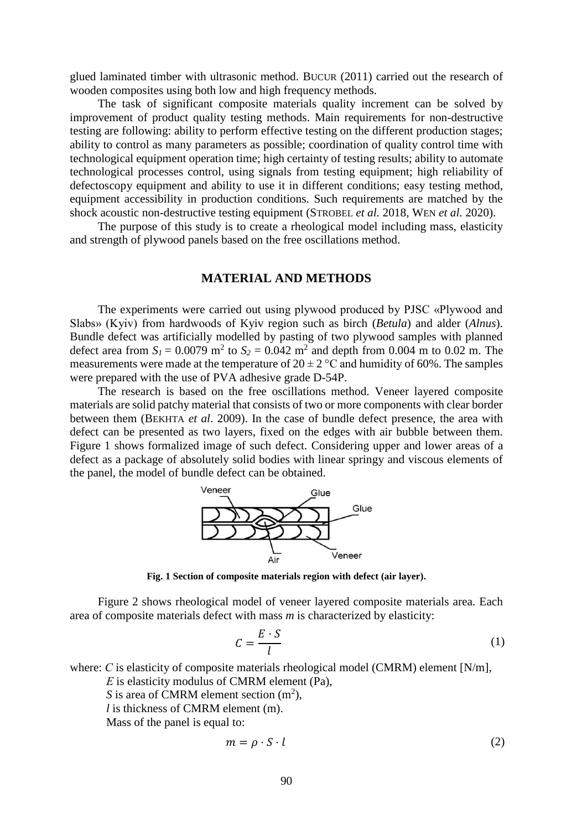glued laminated timber with ultrasonic method. BUCUR (2011) carried out the research of wooden composites using both low and high frequency methods.

The task of significant composite materials quality increment can be solved by improvement of product quality testing methods. Main requirements for non-destructive testing are following: ability to perform effective testing on the different production stages; ability to control as many parameters as possible; coordination of quality control time with technological equipment operation time; high certainty of testing results; ability to automate technological processes control, using signals from testing equipment; high reliability of defectoscopy equipment and ability to use it in different conditions; easy testing method, equipment accessibility in production conditions. Such requirements are matched by the shock acoustic non-destructive testing equipment (STROBEL *et al.* 2018, WEN *et al.* 2020).

The purpose of this study is to create a rheological model including mass, elasticity and strength of plywood panels based on the free oscillations method.

#### **MATERIAL AND METHODS**

The experiments were carried out using plywood produced by PJSC «Plywood and Slabs» (Kyiv) from hardwoods of Kyiv region such as birch (*Betula*) and alder (*Alnus*). Bundle defect was artificially modelled by pasting of two plywood samples with planned defect area from  $S_l = 0.0079$  m<sup>2</sup> to  $S_2 = 0.042$  m<sup>2</sup> and depth from 0.004 m to 0.02 m. The measurements were made at the temperature of  $20 \pm 2$  °C and humidity of 60%. The samples were prepared with the use of PVA adhesive grade D-54P.

The research is based on the free oscillations method. Veneer layered composite materials are solid patchy material that consists of two or more components with clear border between them (BEKHTA *et al*. 2009). In the case of bundle defect presence, the area with defect can be presented as two layers, fixed on the edges with air bubble between them. Figure 1 shows formalized image of such defect. Considering upper and lower areas of a defect as a package of absolutely solid bodies with linear springy and viscous elements of the panel, the model of bundle defect can be obtained.



**Fig. 1 Section of composite materials region with defect (air layer).**

Figure 2 shows rheological model of veneer layered composite materials area. Each area of composite materials defect with mass *m* is characterized by elasticity:

$$
C = \frac{E \cdot S}{l} \tag{1}
$$

where: *C* is elasticity of composite materials rheological model (CMRM) element [N/m],

*Е* is elasticity modulus of CMRM element (Pa),

*S* is area of CMRM element section  $(m^2)$ ,

*l* is thickness of CMRM element (m).

Mass of the panel is equal to:

$$
m = \rho \cdot S \cdot l \tag{2}
$$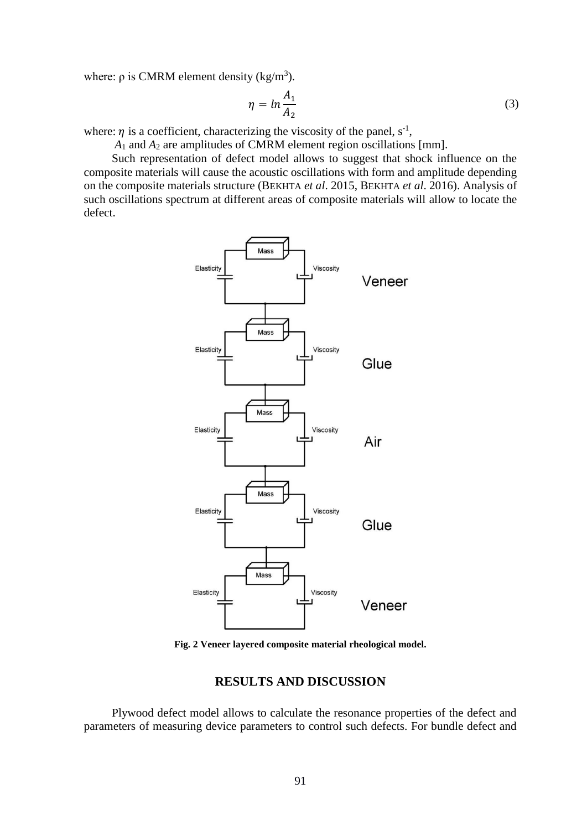where:  $\rho$  is CMRM element density (kg/m<sup>3</sup>).

$$
\eta = \ln \frac{A_1}{A_2} \tag{3}
$$

where:  $\eta$  is a coefficient, characterizing the viscosity of the panel,  $s^{-1}$ ,

*A*<sup>1</sup> and *A*<sup>2</sup> are amplitudes of CMRM element region oscillations [mm].

Such representation of defect model allows to suggest that shock influence on the composite materials will cause the acoustic oscillations with form and amplitude depending on the composite materials structure (BEKHTA *et al*. 2015, BEKHTA *et al*. 2016). Analysis of such oscillations spectrum at different areas of composite materials will allow to locate the defect.



**Fig. 2 Veneer layered composite material rheological model.**

## **RESULTS AND DISCUSSION**

Plywood defect model allows to calculate the resonance properties of the defect and parameters of measuring device parameters to control such defects. For bundle defect and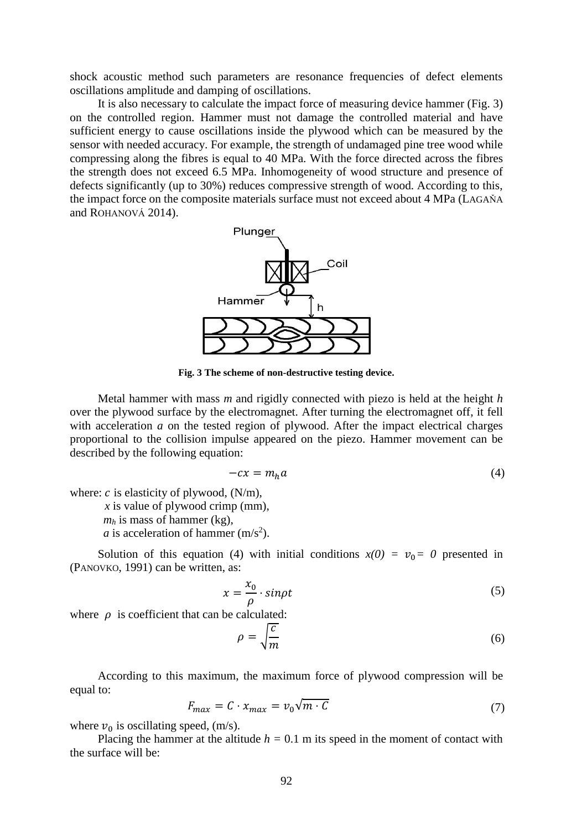shock acoustic method such parameters are resonance frequencies of defect elements oscillations amplitude and damping of oscillations.

It is also necessary to calculate the impact force of measuring device hammer (Fig. 3) on the controlled region. Hammer must not damage the controlled material and have sufficient energy to cause oscillations inside the plywood which can be measured by the sensor with needed accuracy. For example, the strength of undamaged pine tree wood while compressing along the fibres is equal to 40 MPa. With the force directed across the fibres the strength does not exceed 6.5 MPa. Inhomogeneity of wood structure and presence of defects significantly (up to 30%) reduces compressive strength of wood. According to this, the impact force on the composite materials surface must not exceed about 4 MPa (LAGAŇA and ROHANOVÁ 2014).



**Fig. 3 The scheme of non-destructive testing device.**

Metal hammer with mass *m* and rigidly connected with piezo is held at the height *h*  over the plywood surface by the electromagnet. After turning the electromagnet off, it fell with acceleration *a* on the tested region of plywood. After the impact electrical charges proportional to the collision impulse appeared on the piezo. Hammer movement can be described by the following equation:

$$
-cx = m_h a \tag{4}
$$

where:  $c$  is elasticity of plywood,  $(N/m)$ ,

*x* is value of plywood crimp (mm),

 $m_h$  is mass of hammer (kg),

*a* is acceleration of hammer  $(m/s<sup>2</sup>)$ .

Solution of this equation (4) with initial conditions  $x(0) = v_0 = 0$  presented in (PANOVKO, 1991) can be written, as:

$$
x = \frac{x_0}{\rho} \cdot \sin \rho t \tag{5}
$$

where  $\rho$  is coefficient that can be calculated:

$$
\rho = \sqrt{\frac{c}{m}}\tag{6}
$$

According to this maximum, the maximum force of plywood compression will be equal to:

$$
F_{max} = C \cdot x_{max} = v_0 \sqrt{m \cdot C} \tag{7}
$$

where  $v_0$  is oscillating speed, (m/s).

Placing the hammer at the altitude  $h = 0.1$  m its speed in the moment of contact with the surface will be: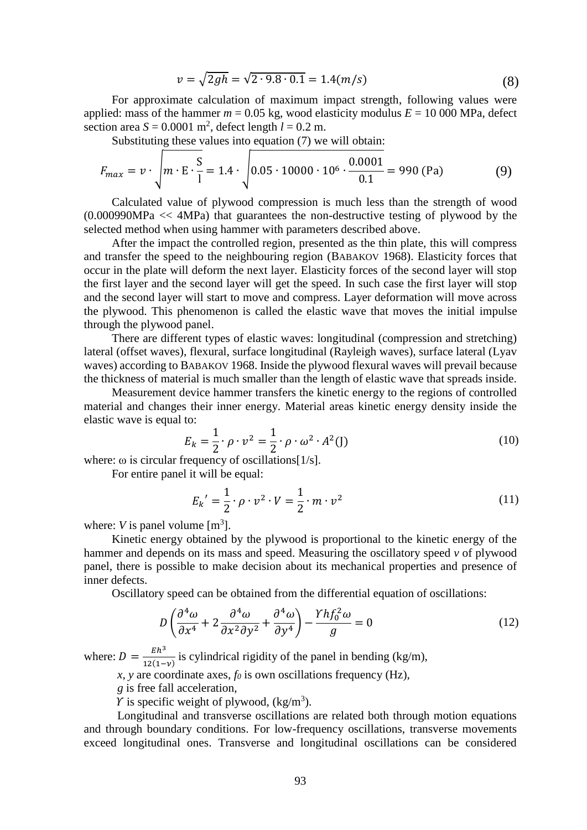$$
v = \sqrt{2gh} = \sqrt{2 \cdot 9.8 \cdot 0.1} = 1.4(m/s)
$$
\n(8)

For approximate calculation of maximum impact strength, following values were applied: mass of the hammer  $m = 0.05$  kg, wood elasticity modulus  $E = 10000$  MPa, defect section area  $S = 0.0001$  m<sup>2</sup>, defect length  $l = 0.2$  m.

Substituting these values into equation (7) we will obtain:

$$
F_{max} = v \cdot \sqrt{m \cdot E \cdot \frac{S}{l}} = 1.4 \cdot \sqrt{0.05 \cdot 10000 \cdot 10^6 \cdot \frac{0.0001}{0.1}} = 990 \text{ (Pa)}
$$
 (9)

Calculated value of plywood compression is much less than the strength of wood (0.000990MPa << 4MPa) that guarantees the non-destructive testing of plywood by the selected method when using hammer with parameters described above.

After the impact the controlled region, presented as the thin plate, this will compress and transfer the speed to the neighbouring region (BABAKOV 1968). Elasticity forces that occur in the plate will deform the next layer. Elasticity forces of the second layer will stop the first layer and the second layer will get the speed. In such case the first layer will stop and the second layer will start to move and compress. Layer deformation will move across the plywood. This phenomenon is called the elastic wave that moves the initial impulse through the plywood panel.

There are different types of elastic waves: longitudinal (compression and stretching) lateral (offset waves), flexural, surface longitudinal (Rayleigh waves), surface lateral (Lyav waves) according to BABAKOV 1968. Inside the plywood flexural waves will prevail because the thickness of material is much smaller than the length of elastic wave that spreads inside.

Measurement device hammer transfers the kinetic energy to the regions of controlled material and changes their inner energy. Material areas kinetic energy density inside the elastic wave is equal to:

$$
E_k = \frac{1}{2} \cdot \rho \cdot v^2 = \frac{1}{2} \cdot \rho \cdot \omega^2 \cdot A^2(J)
$$
 (10)

where:  $\omega$  is circular frequency of oscillations[1/s].

For entire panel it will be equal:

$$
E_k' = \frac{1}{2} \cdot \rho \cdot v^2 \cdot V = \frac{1}{2} \cdot m \cdot v^2 \tag{11}
$$

where:  $V$  is panel volume  $[m<sup>3</sup>]$ .

Kinetic energy obtained by the plywood is proportional to the kinetic energy of the hammer and depends on its mass and speed. Measuring the oscillatory speed *v* of plywood panel, there is possible to make decision about its mechanical properties and presence of inner defects.

Oscillatory speed can be obtained from the differential equation of oscillations:

$$
D\left(\frac{\partial^4 \omega}{\partial x^4} + 2\frac{\partial^4 \omega}{\partial x^2 \partial y^2} + \frac{\partial^4 \omega}{\partial y^4}\right) - \frac{Y h f_0^2 \omega}{g} = 0\tag{12}
$$

where:  $D = \frac{E h^3}{12(4)}$  $\frac{Eh}{12(1-\nu)}$  is cylindrical rigidity of the panel in bending (kg/m),

*x*, *y* are coordinate axes,  $f_0$  is own oscillations frequency (Hz),

*g* is free fall acceleration,

 $\gamma$  is specific weight of plywood, (kg/m<sup>3</sup>).

Longitudinal and transverse oscillations are related both through motion equations and through boundary conditions. For low-frequency oscillations, transverse movements exceed longitudinal ones. Transverse and longitudinal oscillations can be considered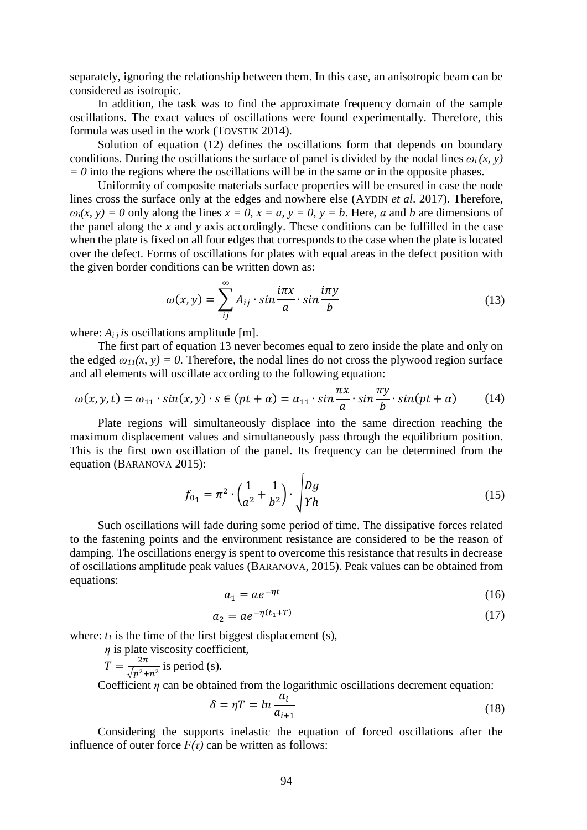separately, ignoring the relationship between them. In this case, an anisotropic beam can be considered as isotropic.

In addition, the task was to find the approximate frequency domain of the sample oscillations. The exact values of oscillations were found experimentally. Therefore, this formula was used in the work (TOVSTIK 2014).

Solution of equation (12) defines the oscillations form that depends on boundary conditions. During the oscillations the surface of panel is divided by the nodal lines  $\omega_i(x, y)$  $= 0$  into the regions where the oscillations will be in the same or in the opposite phases.

Uniformity of composite materials surface properties will be ensured in case the node lines cross the surface only at the edges and nowhere else (AYDIN *et al*. 2017). Therefore,  $\omega_i(x, y) = 0$  only along the lines  $x = 0$ ,  $x = a$ ,  $y = 0$ ,  $y = b$ . Here, a and b are dimensions of the panel along the *x* and *y* axis accordingly. These conditions can be fulfilled in the case when the plate is fixed on all four edges that corresponds to the case when the plate is located over the defect. Forms of oscillations for plates with equal areas in the defect position with the given border conditions can be written down as:

$$
\omega(x, y) = \sum_{ij}^{\infty} A_{ij} \cdot \sin \frac{i\pi x}{a} \cdot \sin \frac{i\pi y}{b}
$$
 (13)

where:  $A_{ij}$  *is* oscillations amplitude [m].

The first part of equation 13 never becomes equal to zero inside the plate and only on the edged  $\omega_{11}(x, y) = 0$ . Therefore, the nodal lines do not cross the plywood region surface and all elements will oscillate according to the following equation:

$$
\omega(x, y, t) = \omega_{11} \cdot \sin(x, y) \cdot s \in (pt + \alpha) = \alpha_{11} \cdot \sin \frac{\pi x}{a} \cdot \sin \frac{\pi y}{b} \cdot \sin(pt + \alpha)
$$
(14)

Plate regions will simultaneously displace into the same direction reaching the maximum displacement values and simultaneously pass through the equilibrium position. This is the first own oscillation of the panel. Its frequency can be determined from the equation (BARANOVA 2015):

$$
f_{01} = \pi^2 \cdot \left(\frac{1}{a^2} + \frac{1}{b^2}\right) \cdot \sqrt{\frac{Dg}{\gamma h}}
$$
 (15)

Such oscillations will fade during some period of time. The dissipative forces related to the fastening points and the environment resistance are considered to be the reason of damping. The oscillations energy is spent to overcome this resistance that results in decrease of oscillations amplitude peak values (BARANOVA, 2015). Peak values can be obtained from equations:

$$
a_1 = a e^{-\eta t} \tag{16}
$$

$$
a_2 = a e^{-\eta (t_1 + T)} \tag{17}
$$

where:  $t_I$  is the time of the first biggest displacement (s),

*η* is plate viscosity coefficient,

$$
T = \frac{2\pi}{\sqrt{p^2 + n^2}}
$$
 is period (s).

Coefficient  $\eta$  can be obtained from the logarithmic oscillations decrement equation:

$$
\delta = \eta T = \ln \frac{a_i}{a_{i+1}} \tag{18}
$$

Considering the supports inelastic the equation of forced oscillations after the influence of outer force  $F(\tau)$  can be written as follows: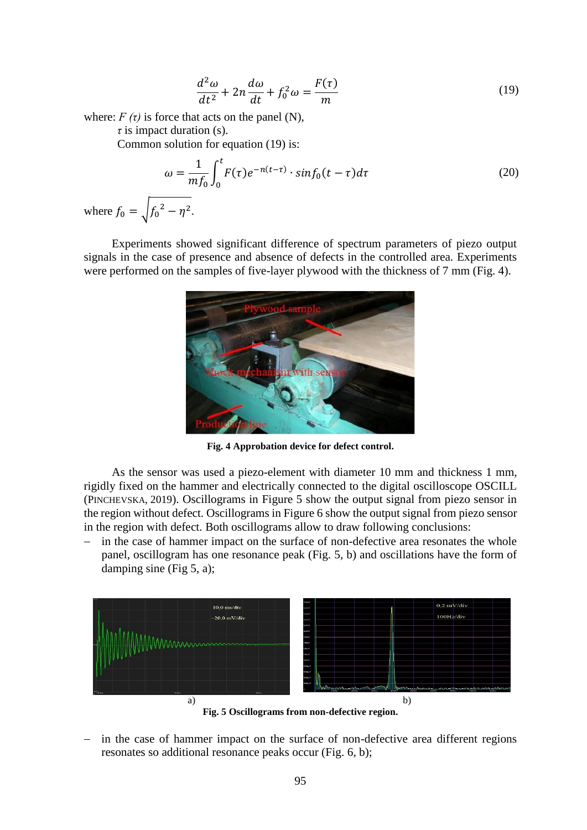$$
\frac{d^2\omega}{dt^2} + 2n\frac{d\omega}{dt} + f_0^2 \omega = \frac{F(\tau)}{m}
$$
\n(19)

where:  $F(\tau)$  is force that acts on the panel (N),

*τ* is impact duration (s).

Common solution for equation (19) is:

$$
\omega = \frac{1}{m f_0} \int_0^t F(\tau) e^{-n(t-\tau)} \cdot \sin f_0(t-\tau) d\tau
$$
\n(20)

where  $f_0 = \sqrt{f_0^2 - \eta^2}$ .

Experiments showed significant difference of spectrum parameters of piezo output signals in the case of presence and absence of defects in the controlled area. Experiments were performed on the samples of five-layer plywood with the thickness of 7 mm (Fig. 4).



**Fig. 4 Approbation device for defect control.**

As the sensor was used a piezo-element with diameter 10 mm and thickness 1 mm, rigidly fixed on the hammer and electrically connected to the digital oscilloscope OSCILL (PINCHEVSKA, 2019). Oscillograms in Figure 5 show the output signal from piezo sensor in the region without defect. Oscillograms in Figure 6 show the output signal from piezo sensor in the region with defect. Both oscillograms allow to draw following conclusions:

 in the case of hammer impact on the surface of non-defective area resonates the whole panel, oscillogram has one resonance peak (Fig. 5, b) and oscillations have the form of damping sine (Fig 5, a);



**Fig. 5 Oscillograms from non-defective region.**

 in the case of hammer impact on the surface of non-defective area different regions resonates so additional resonance peaks occur (Fig. 6, b);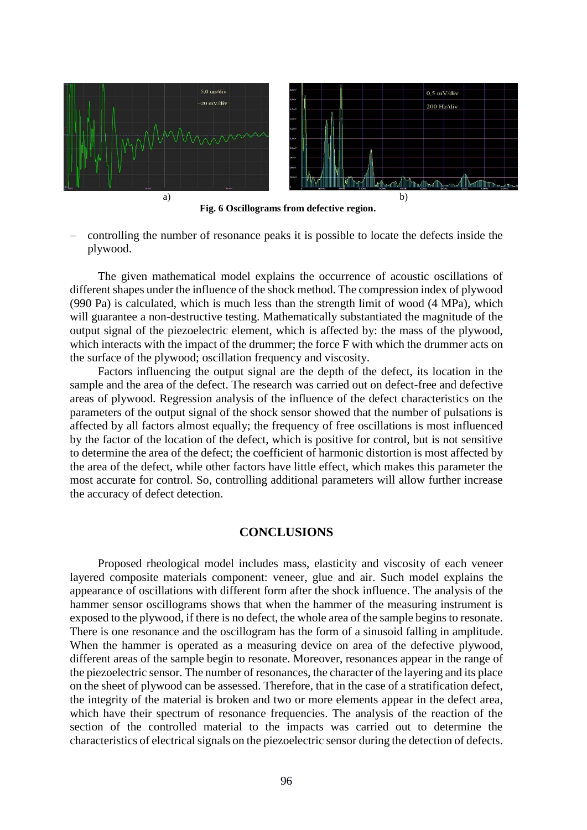

**Fig. 6 Oscillograms from defective region.**

 controlling the number of resonance peaks it is possible to locate the defects inside the plywood.

The given mathematical model explains the occurrence of acoustic oscillations of different shapes under the influence of the shock method. The compression index of plywood (990 Pa) is calculated, which is much less than the strength limit of wood (4 MPa), which will guarantee a non-destructive testing. Mathematically substantiated the magnitude of the output signal of the piezoelectric element, which is affected by: the mass of the plywood, which interacts with the impact of the drummer; the force F with which the drummer acts on the surface of the plywood; oscillation frequency and viscosity.

Factors influencing the output signal are the depth of the defect, its location in the sample and the area of the defect. The research was carried out on defect-free and defective areas of plywood. Regression analysis of the influence of the defect characteristics on the parameters of the output signal of the shock sensor showed that the number of pulsations is affected by all factors almost equally; the frequency of free oscillations is most influenced by the factor of the location of the defect, which is positive for control, but is not sensitive to determine the area of the defect; the coefficient of harmonic distortion is most affected by the area of the defect, while other factors have little effect, which makes this parameter the most accurate for control. So, controlling additional parameters will allow further increase the accuracy of defect detection.

## **CONCLUSIONS**

Proposed rheological model includes mass, elasticity and viscosity of each veneer layered composite materials component: veneer, glue and air. Such model explains the appearance of oscillations with different form after the shock influence. The analysis of the hammer sensor oscillograms shows that when the hammer of the measuring instrument is exposed to the plywood, if there is no defect, the whole area of the sample begins to resonate. There is one resonance and the oscillogram has the form of a sinusoid falling in amplitude. When the hammer is operated as a measuring device on area of the defective plywood, different areas of the sample begin to resonate. Moreover, resonances appear in the range of the piezoelectric sensor. The number of resonances, the character of the layering and its place on the sheet of plywood can be assessed. Therefore, that in the case of a stratification defect, the integrity of the material is broken and two or more elements appear in the defect area, which have their spectrum of resonance frequencies. The analysis of the reaction of the section of the controlled material to the impacts was carried out to determine the characteristics of electrical signals on the piezoelectric sensor during the detection of defects.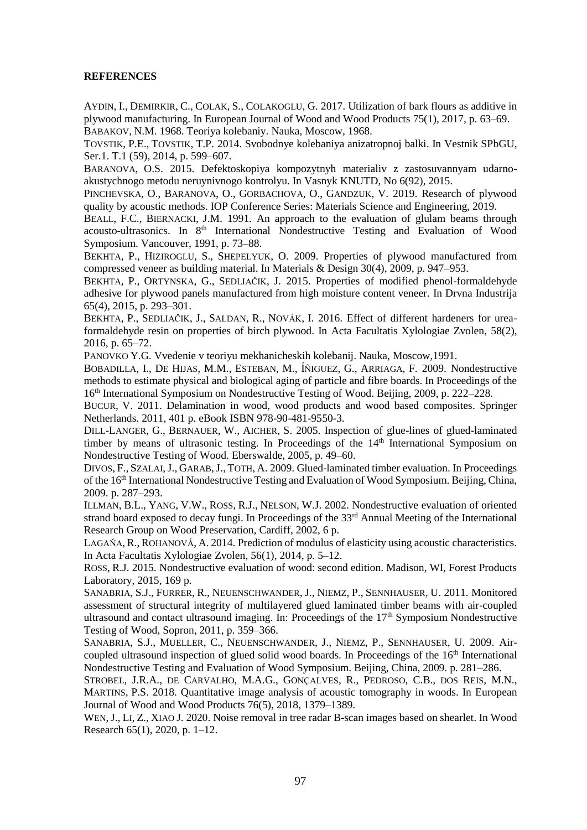#### **REFERENCES**

AYDIN, I., DEMIRKIR, C., COLAK, S., COLAKOGLU, G. 2017. Utilization of bark flours as additive in plywood manufacturing. In European Journal of Wood and Wood Products 75(1), 2017, p. 63–69. BABAKOV, N.M. 1968. Teoriya kolebaniy. Nauka, Moscow, 1968.

TOVSTIK, P.E., TOVSTIK, T.P. 2014. Svobodnye kolebaniya anizatropnoj balki. In Vestnik SPbGU, Ser.1. T.1 (59), 2014, p. 599–607.

BARANOVA, O.S. 2015. Defektoskopiya kompozytnyh materialiv z zastosuvannyam udarnoakustychnogo metodu neruynivnogo kontrolyu. In Vasnyk KNUTD, No 6(92), 2015.

PINCHEVSKA, O., BARANOVA, O., GORBACHOVA, O., GANDZUK, V. 2019. Research of plywood quality by acoustic methods. IOP Conference Series: Materials Science and Engineering, 2019.

BEALL, F.C., BIERNACKI, J.M. 1991. An approach to the evaluation of glulam beams through acousto-ultrasonics. In 8<sup>th</sup> International Nondestructive Testing and Evaluation of Wood Symposium. Vancouver, 1991, p. 73–88.

BEKHTA, P., HIZIROGLU, S., SHEPELYUK, O. 2009. Properties of plywood manufactured from compressed veneer as building material. In Materials & Design 30(4), 2009, p. 947–953.

BEKHTA, P., ORTYNSKA, G., SEDLIAČIK, J. 2015. Properties of modified phenol-formaldehyde adhesive for plywood panels manufactured from high moisture content veneer. In Drvna Industrija 65(4), 2015, p. 293–301.

BEKHTA, P., SEDLIAČIK, J., SALDAN, R., NOVÁK, I. 2016. Effect of different hardeners for ureaformaldehyde resin on properties of birch plywood. In Acta Facultatis Xylologiae Zvolen, 58(2), 2016, p. 65–72.

PANOVKO Y.G. Vvedenie v teoriyu mekhanicheskih kolebanij. Nauka, Moscow,1991.

BOBADILLA, I., DE HIJAS, M.M., ESTEBAN, M., ÍÑIGUEZ, G., ARRIAGA, F. 2009. Nondestructive methods to estimate physical and biological aging of particle and fibre boards. In Proceedings of the 16th International Symposium on Nondestructive Testing of Wood. Beijing, 2009, p. 222–228.

BUCUR, V. 2011. Delamination in wood, wood products and wood based composites. Springer Netherlands. 2011, 401 p. eBook ISBN 978-90-481-9550-3.

DILL-LANGER, G., BERNAUER, W., AICHER, S. 2005. Inspection of glue-lines of glued-laminated timber by means of ultrasonic testing. In Proceedings of the  $14<sup>th</sup>$  International Symposium on Nondestructive Testing of Wood. Eberswalde, 2005, p. 49–60.

DIVOS, F., SZALAI,J., GARAB,J., TOTH, A. 2009. Glued-laminated timber evaluation. In Proceedings of the 16th International Nondestructive Testing and Evaluation of Wood Symposium. Beijing, China, 2009. p. 287–293.

ILLMAN, B.L., YANG, V.W., ROSS, R.J., NELSON, W.J. 2002. Nondestructive evaluation of oriented strand board exposed to decay fungi. In Proceedings of the  $33<sup>rd</sup>$  Annual Meeting of the International Research Group on Wood Preservation, Cardiff, 2002, 6 p.

L[AGAŇA](https://www.researchgate.net/profile/Rastislav_Lagana?_sg=3nY-jdg6tRNzFSN3SDGkAf8hUCyfLyGeS9HPKuec0H2J1aSDHdtnC6sk1VRw2vzUyvaaBzE.1sojf_TcDsOeHPtn9HopSZADa3oMvfijzDf1rTtpf3Mz0D6NB7GA5Fk6sU74LvMV5xnpaema_UpfcztIVjGpGQ), R., R[OHANOVÁ](https://www.researchgate.net/scientific-contributions/2089946525_A_Rohanova?_sg=3nY-jdg6tRNzFSN3SDGkAf8hUCyfLyGeS9HPKuec0H2J1aSDHdtnC6sk1VRw2vzUyvaaBzE.1sojf_TcDsOeHPtn9HopSZADa3oMvfijzDf1rTtpf3Mz0D6NB7GA5Fk6sU74LvMV5xnpaema_UpfcztIVjGpGQ), A. 2014. Prediction of modulus of elasticity using acoustic characteristics. In [Acta Facultatis Xylologiae](https://www.researchgate.net/journal/1336-3824_Acta_Facultatis_Xylologiae) Zvolen, 56(1), 2014, p. 5–12.

ROSS, R.J. 2015. Nondestructive evaluation of wood: second edition. Madison, WI, Forest Products Laboratory, 2015, 169 p.

SANABRIA, S.J., FURRER, R., NEUENSCHWANDER, J., NIEMZ, P., SENNHAUSER, U. 2011. Monitored assessment of structural integrity of multilayered glued laminated timber beams with air-coupled ultrasound and contact ultrasound imaging. In: Proceedings of the  $17<sup>th</sup>$  Symposium Nondestructive Testing of Wood, Sopron, 2011, p. 359–366.

SANABRIA, S.J., MUELLER, C., NEUENSCHWANDER, J., NIEMZ, P., SENNHAUSER, U. 2009. Aircoupled ultrasound inspection of glued solid wood boards. In Proceedings of the 16<sup>th</sup> International Nondestructive Testing and Evaluation of Wood Symposium. Beijing, China, 2009. p. 281–286.

STROBEL, J.R.A., DE CARVALHO, M.A.G., GONÇALVES, R., PEDROSO, C.B., DOS REIS, M.N., MARTINS, P.S. 2018. Quantitative image analysis of acoustic tomography in woods. In European Journal of Wood and Wood Products 76(5), 2018, 1379–1389.

WEN,J., LI, Z., XIAO J. 2020. Noise removal in tree radar B-scan images based on shearlet. In Wood Research 65(1), 2020, p. 1–12.